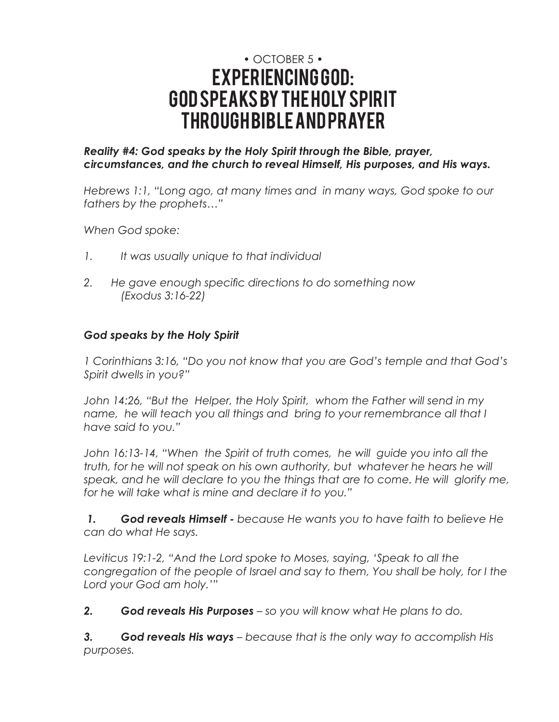# • OCTOBER 5 • EXPERIENCING GOD: GOD SPEAKS BY THE HOLY SPIRIT THROUGH BIBLE AND PRAYER

# *Reality #4: God speaks by the Holy Spirit through the Bible, prayer, circumstances, and the church to reveal Himself, His purposes, and His ways.*

*Hebrews 1:1, "Long ago, at many times and in many ways, God spoke to our fathers by the prophets…"* 

*When God spoke:*

- *1. It was usually unique to that individual*
- *2. He gave enough specific directions to do something now (Exodus 3:16-22)*

# *God speaks by the Holy Spirit*

*1 Corinthians 3:16, "Do you not know that you are God's temple and that God's Spirit dwells in you?"* 

*John 14:26, "But the Helper, the Holy Spirit, whom the Father will send in my name, he will teach you all things and bring to your remembrance all that I have said to you."*

*John 16:13-14, "When the Spirit of truth comes, he will guide you into all the truth, for he will not speak on his own authority, but whatever he hears he will* speak, and he will declare to you the things that are to come. He will glorify me, *for he will take what is mine and declare it to you."*

 *1. God reveals Himself - because He wants you to have faith to believe He can do what He says.*

*Leviticus 19:1-2, "And the Lord spoke to Moses, saying, 'Speak to all the congregation of the people of Israel and say to them, You shall be holy, for I the Lord your God am holy.'"*

*2. God reveals His Purposes – so you will know what He plans to do.* 

*3. God reveals His ways – because that is the only way to accomplish His purposes.*